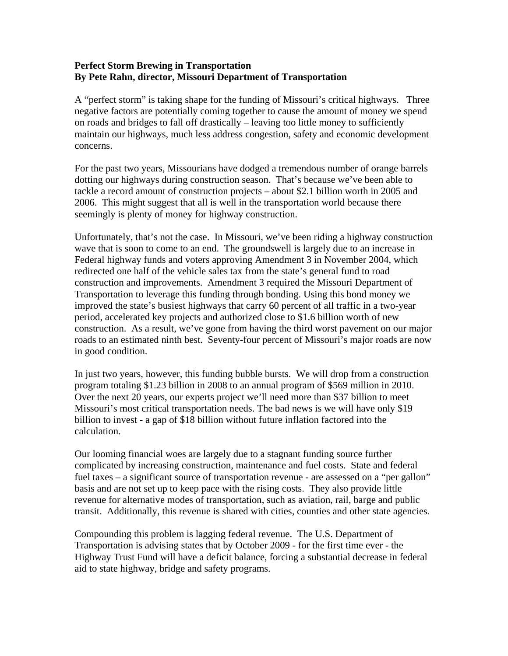## **Perfect Storm Brewing in Transportation By Pete Rahn, director, Missouri Department of Transportation**

A "perfect storm" is taking shape for the funding of Missouri's critical highways. Three negative factors are potentially coming together to cause the amount of money we spend on roads and bridges to fall off drastically – leaving too little money to sufficiently maintain our highways, much less address congestion, safety and economic development concerns.

For the past two years, Missourians have dodged a tremendous number of orange barrels dotting our highways during construction season. That's because we've been able to tackle a record amount of construction projects – about \$2.1 billion worth in 2005 and 2006. This might suggest that all is well in the transportation world because there seemingly is plenty of money for highway construction.

Unfortunately, that's not the case. In Missouri, we've been riding a highway construction wave that is soon to come to an end. The groundswell is largely due to an increase in Federal highway funds and voters approving Amendment 3 in November 2004, which redirected one half of the vehicle sales tax from the state's general fund to road construction and improvements. Amendment 3 required the Missouri Department of Transportation to leverage this funding through bonding. Using this bond money we improved the state's busiest highways that carry 60 percent of all traffic in a two-year period, accelerated key projects and authorized close to \$1.6 billion worth of new construction. As a result, we've gone from having the third worst pavement on our major roads to an estimated ninth best. Seventy-four percent of Missouri's major roads are now in good condition.

In just two years, however, this funding bubble bursts. We will drop from a construction program totaling \$1.23 billion in 2008 to an annual program of \$569 million in 2010. Over the next 20 years, our experts project we'll need more than \$37 billion to meet Missouri's most critical transportation needs. The bad news is we will have only \$19 billion to invest - a gap of \$18 billion without future inflation factored into the calculation.

Our looming financial woes are largely due to a stagnant funding source further complicated by increasing construction, maintenance and fuel costs. State and federal fuel taxes – a significant source of transportation revenue - are assessed on a "per gallon" basis and are not set up to keep pace with the rising costs. They also provide little revenue for alternative modes of transportation, such as aviation, rail, barge and public transit. Additionally, this revenue is shared with cities, counties and other state agencies.

Compounding this problem is lagging federal revenue. The U.S. Department of Transportation is advising states that by October 2009 - for the first time ever - the Highway Trust Fund will have a deficit balance, forcing a substantial decrease in federal aid to state highway, bridge and safety programs.